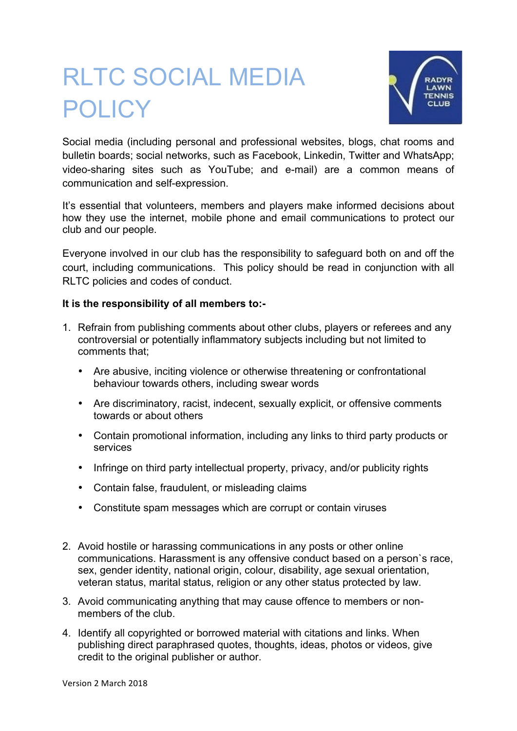## RLTC SOCIAL MEDIA **POLICY**



Social media (including personal and professional websites, blogs, chat rooms and bulletin boards; social networks, such as Facebook, Linkedin, Twitter and WhatsApp; video-sharing sites such as YouTube; and e-mail) are a common means of communication and self-expression.

It's essential that volunteers, members and players make informed decisions about how they use the internet, mobile phone and email communications to protect our club and our people.

Everyone involved in our club has the responsibility to safeguard both on and off the court, including communications. This policy should be read in conjunction with all RLTC policies and codes of conduct.

## **It is the responsibility of all members to:-**

- 1. Refrain from publishing comments about other clubs, players or referees and any controversial or potentially inflammatory subjects including but not limited to comments that;
	- Are abusive, inciting violence or otherwise threatening or confrontational behaviour towards others, including swear words
	- Are discriminatory, racist, indecent, sexually explicit, or offensive comments towards or about others
	- Contain promotional information, including any links to third party products or services
	- Infringe on third party intellectual property, privacy, and/or publicity rights
	- Contain false, fraudulent, or misleading claims
	- Constitute spam messages which are corrupt or contain viruses
- 2. Avoid hostile or harassing communications in any posts or other online communications. Harassment is any offensive conduct based on a person`s race, sex, gender identity, national origin, colour, disability, age sexual orientation, veteran status, marital status, religion or any other status protected by law.
- 3. Avoid communicating anything that may cause offence to members or nonmembers of the club.
- 4. Identify all copyrighted or borrowed material with citations and links. When publishing direct paraphrased quotes, thoughts, ideas, photos or videos, give credit to the original publisher or author.